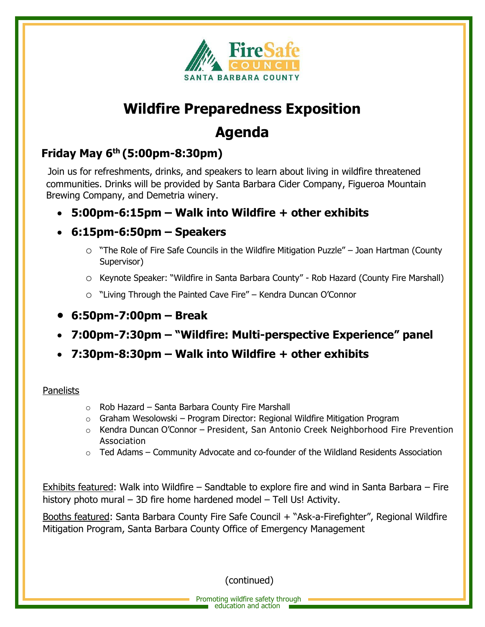

# **Agenda**

## **Friday May 6th (5:00pm-8:30pm)**

 Join us for refreshments, drinks, and speakers to learn about living in wildfire threatened communities. Drinks will be provided by Santa Barbara Cider Company, Figueroa Mountain Brewing Company, and Demetria winery.

- **5:00pm-6:15pm – Walk into Wildfire + other exhibits**
- **6:15pm-6:50pm – Speakers**
	- $\circ$  "The Role of Fire Safe Councils in the Wildfire Mitigation Puzzle" Joan Hartman (County Supervisor)
	- o Keynote Speaker: "Wildfire in Santa Barbara County" Rob Hazard (County Fire Marshall)
	- o "Living Through the Painted Cave Fire" Kendra Duncan O'Connor
- **6:50pm-7:00pm – Break**
- **7:00pm-7:30pm – "Wildfire: Multi-perspective Experience" panel**
- **7:30pm-8:30pm – Walk into Wildfire + other exhibits**

#### Panelists

- o Rob Hazard Santa Barbara County Fire Marshall
- $\circ$  Graham Wesolowski Program Director: Regional Wildfire Mitigation Program
- $\circ$  Kendra Duncan O'Connor President, San Antonio Creek Neighborhood Fire Prevention Association
- $\circ$  Ted Adams Community Advocate and co-founder of the Wildland Residents Association

Exhibits featured: Walk into Wildfire – Sandtable to explore fire and wind in Santa Barbara – Fire history photo mural – 3D fire home hardened model – Tell Us! Activity.

Booths featured: Santa Barbara County Fire Safe Council + "Ask-a-Firefighter", Regional Wildfire Mitigation Program, Santa Barbara County Office of Emergency Management

(continued)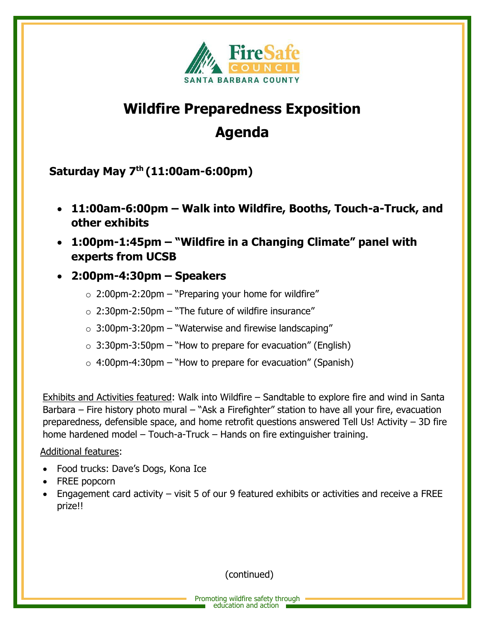

## **Agenda**

**Saturday May 7th (11:00am-6:00pm)**

- **11:00am-6:00pm – Walk into Wildfire, Booths, Touch-a-Truck, and other exhibits**
- **1:00pm-1:45pm – "Wildfire in a Changing Climate" panel with experts from UCSB**
- **2:00pm-4:30pm – Speakers**
	- $\circ$  2:00pm-2:20pm "Preparing your home for wildfire"
	- $\circ$  2:30pm-2:50pm "The future of wildfire insurance"
	- $\circ$  3:00pm-3:20pm "Waterwise and firewise landscaping"
	- $\circ$  3:30pm-3:50pm "How to prepare for evacuation" (English)
	- $\circ$  4:00pm-4:30pm "How to prepare for evacuation" (Spanish)

Exhibits and Activities featured: Walk into Wildfire – Sandtable to explore fire and wind in Santa Barbara – Fire history photo mural – "Ask a Firefighter" station to have all your fire, evacuation preparedness, defensible space, and home retrofit questions answered Tell Us! Activity – 3D fire home hardened model – Touch-a-Truck – Hands on fire extinguisher training.

#### Additional features:

- Food trucks: Dave's Dogs, Kona Ice
- FREE popcorn
- Engagement card activity visit 5 of our 9 featured exhibits or activities and receive a FREE prize!!

(continued)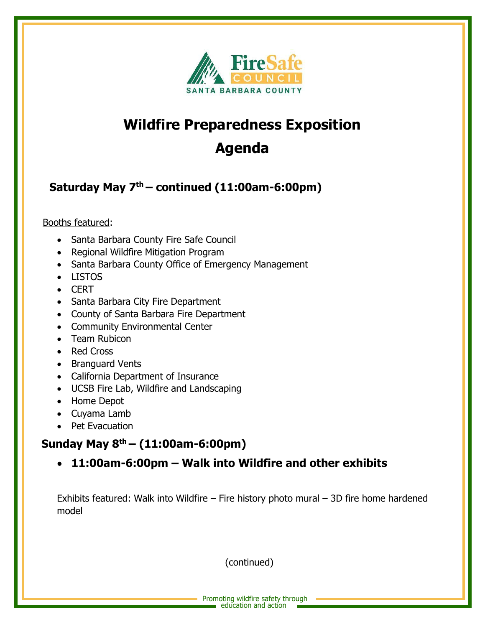

# **Agenda**

## **Saturday May 7th – continued (11:00am-6:00pm)**

### Booths featured:

- Santa Barbara County Fire Safe Council
- Regional Wildfire Mitigation Program
- Santa Barbara County Office of Emergency Management
- LISTOS
- CERT
- Santa Barbara City Fire Department
- County of Santa Barbara Fire Department
- Community Environmental Center
- Team Rubicon
- Red Cross
- Branguard Vents
- California Department of Insurance
- UCSB Fire Lab, Wildfire and Landscaping
- Home Depot
- Cuyama Lamb
- Pet Evacuation

### **Sunday May 8th – (11:00am-6:00pm)**

• **11:00am-6:00pm – Walk into Wildfire and other exhibits** 

Exhibits featured: Walk into Wildfire – Fire history photo mural – 3D fire home hardened model

(continued)